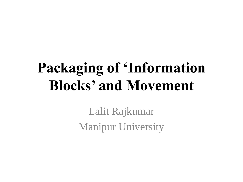# **Packaging of 'Information Blocks' and Movement**

Lalit Rajkumar Manipur University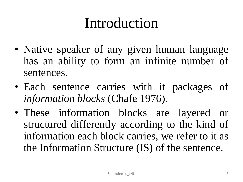# Introduction

- Native speaker of any given human language has an ability to form an infinite number of sentences.
- Each sentence carries with it packages of *information blocks* (Chafe 1976).
- These information blocks are layered or structured differently according to the kind of information each block carries, we refer to it as the Information Structure (IS) of the sentence.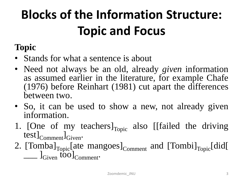# **Blocks of the Information Structure: Topic and Focus**

## **Topic**

- Stands for what a sentence is about
- Need not always be an old, already *given* information as assumed earlier in the literature, for example Chafe (1976) before Reinhart (1981) cut apart the differences between two.
- So, it can be used to show a new, not already given information.
- 1. [One of my teachers] $_{\text{Topic}}$  also [[failed the driving  $test]_{Comment}$ <sub>Given</sub>.
- 2.  $[Tomba]_{Topic}$ [ate mangoes] $_{Comment}$  and  $[Tombi]_{Topic}$ [did[ \_\_\_ ]Given too]Comment.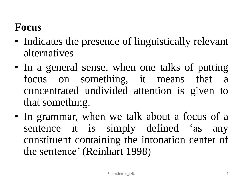## **Focus**

- Indicates the presence of linguistically relevant alternatives
- In a general sense, when one talks of putting focus on something, it means that a concentrated undivided attention is given to that something.
- In grammar, when we talk about a focus of a sentence it is simply defined 'as any constituent containing the intonation center of the sentence' (Reinhart 1998)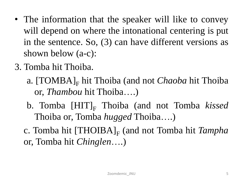- The information that the speaker will like to convey will depend on where the intonational centering is put in the sentence. So, (3) can have different versions as shown below (a-c):
- 3. Tomba hit Thoiba.
	- a. [TOMBA]<sub>F</sub> hit Thoiba (and not *Chaoba* hit Thoiba or, *Thambou* hit Thoiba….)
	- b. Tomba [HIT]<sub>F</sub> Thoiba (and not Tomba *kissed* Thoiba or, Tomba *hugged* Thoiba….)
	- c. Tomba hit [THOIBA]<sub>F</sub> (and not Tomba hit *Tampha* or, Tomba hit *Chinglen*….)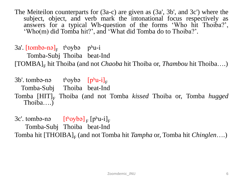The Meiteilon counterparts for (3a-c) are given as (3a', 3b', and 3c') where the subject, object, and verb mark the intonational focus respectively as answers for a typical Wh-question of the forms 'Who hit Thoiba?', 'Who(m) did Tomba hit?', and 'What did Tomba do to Thoiba?'.

3a'. [tombə-nə]<sub>F</sub> t<sup>h</sup>oybə p<sup>h</sup>u-i Tomba-Subj Thoiba beat-Ind [TOMBA]<sub>F</sub> hit Thoiba (and not *Chaoba* hit Thoiba or, *Thambou* hit Thoiba....)

 $3b'$ . tombə-nə t<sup>h</sup>oybə  $[p^h u - i]_F$ Tomba-Subj Thoiba beat-Ind Tomba [HIT]<sub>F</sub> Thoiba (and not Tomba *kissed* Thoiba or, Tomba *hugged* Thoiba….)

3c'. tombə-nə  $[t<sup>h</sup>oyb$ ə] <sub>F</sub>  $[p<sup>h</sup>u-i]$ <sub>F</sub> Tomba-Subj Thoiba beat-Ind Tomba hit [THOIBA]<sub>F</sub> (and not Tomba hit *Tampha* or, Tomba hit *Chinglen*....)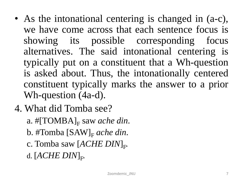- As the intonational centering is changed in (a-c), we have come across that each sentence focus is showing its possible corresponding focus alternatives. The said intonational centering is typically put on a constituent that a Wh-question is asked about. Thus, the intonationally centered constituent typically marks the answer to a prior Wh-question (4a-d).
- 4. What did Tomba see?
	- a. #[TOMBA]<sub>F</sub> saw *ache din*.
	- b. #Tomba [SAW]<sub>F</sub> *ache din*.
	- c. Tomba saw  $[ACHE$   $DIN]_{\rm F}$ .
	- d.  $[A \textit{CHE} \textit{ DIN}]_\text{F}$ .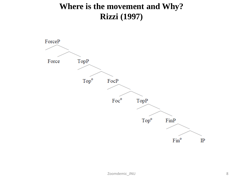### **Where is the movement and Why? Rizzi (1997)**

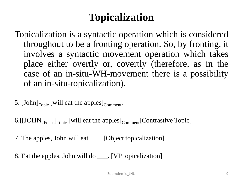## **Topicalization**

Topicalization is a syntactic operation which is considered throughout to be a fronting operation. So, by fronting, it involves a syntactic movement operation which takes place either overtly or, covertly (therefore, as in the case of an in-situ-WH-movement there is a possibility of an in-situ-topicalization).

5. [John] $_{\text{Topic}}$  [will eat the apples] $_{\text{Comment}}$ .

6. [[JOHN] $_{Focus}$ ]<sub>Topic</sub> [will eat the apples]<sub>Comment</sub> [Contrastive Topic]

7. The apples, John will eat \_\_\_. [Object topicalization]

8. Eat the apples, John will do \_\_\_. [VP topicalization]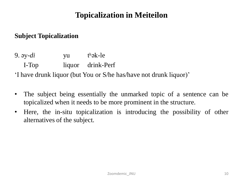### **Topicalization in Meiteilon**

#### **Subject Topicalization**

9. əy-*di* yu tʰək-le I-Top liquor drink-Perf 'I have drunk liquor (but You or S/he has/have not drunk liquor)'

- The subject being essentially the unmarked topic of a sentence can be topicalized when it needs to be more prominent in the structure.
- Here, the in-situ topicalization is introducing the possibility of other alternatives of the subject.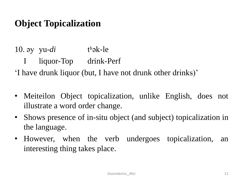## **Object Topicalization**

10.  $\partial y$  yu-*di* than the the I liquor-Top drink-Perf 'I have drunk liquor (but, I have not drunk other drinks)'

- Meiteilon Object topicalization, unlike English, does not illustrate a word order change.
- Shows presence of in-situ object (and subject) topicalization in the language.
- However, when the verb undergoes topicalization, an interesting thing takes place.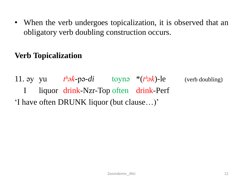• When the verb undergoes topicalization, it is observed that an obligatory verb doubling construction occurs.

### **Verb Topicalization**

11. əy yu  $t^h \partial k$ -pə- $di$  toynə \* $(t^h \partial k)$ -le (verb doubling) I liquor drink-Nzr-Top often drink-Perf 'I have often DRUNK liquor (but clause…)'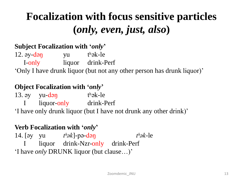# **Focalization with focus sensitive particles (***only, even, just, also***)**

#### **Subject Focalization with '***only***'**

12. əy-dəŋ yu tʰək-le I-only liquor drink-Perf 'Only I have drunk liquor (but not any other person has drunk liquor)'

#### **Object Focalization with '***only***'**

13.  $\mathsf{ev}$   $\mathsf{vu}\text{-}\mathsf{d}\mathsf{on}$   $\mathsf{t}^{\mathsf{h}}\mathsf{a}\mathsf{k}\text{-}\mathsf{le}$ I liquor-only drink-Perf

'I have only drunk liquor (but I have not drunk any other drink)'

#### **Verb Focalization with '***only***'**

14. [əy yu *tʰək*]-pə-dəŋ *tʰək*-le I liquor drink-Nzr-only drink-Perf 'I have *only* DRUNK liquor (but clause…)'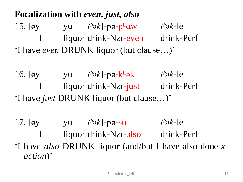**Focalization with** *even, just, also* 15. [əy yu *tʰək*]-pə-pʰɑw *tʰək*-le I liquor drink-Nzr-even drink-Perf 'I have *even* DRUNK liquor (but clause…)'

16. [əy yu *tʰək*]-pə-kʰək *tʰək*-le I liquor drink-Nzr-just drink-Perf 'I have *just* DRUNK liquor (but clause…)'

17. [əy yu *tʰək*]-pə-su *tʰək*-le I liquor drink-Nzr-also drink-Perf 'I have *also* DRUNK liquor (and/but I have also done *xaction*)'